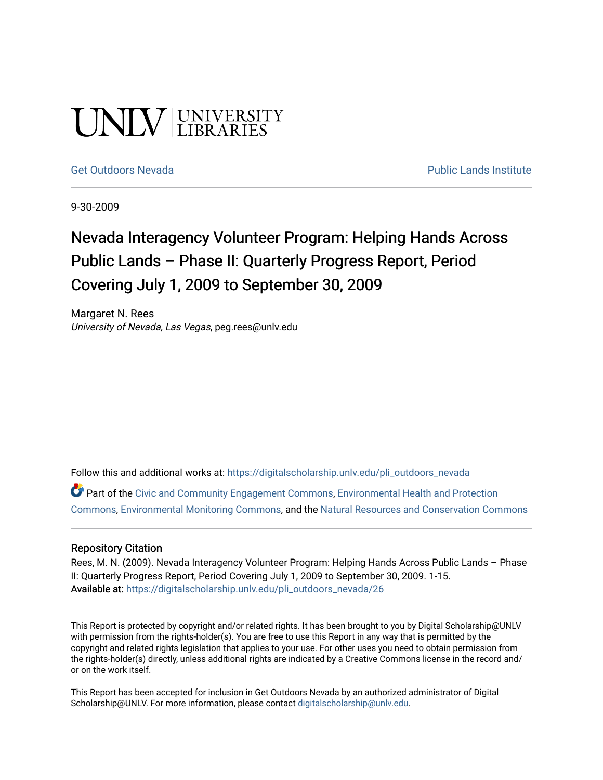# UNIV UNIVERSITY

#### [Get Outdoors Nevada](https://digitalscholarship.unlv.edu/pli_outdoors_nevada) **Public Lands Institute** Public Lands Institute

9-30-2009

### Nevada Interagency Volunteer Program: Helping Hands Across Public Lands – Phase II: Quarterly Progress Report, Period Covering July 1, 2009 to September 30, 2009

Margaret N. Rees University of Nevada, Las Vegas, peg.rees@unlv.edu

Follow this and additional works at: [https://digitalscholarship.unlv.edu/pli\\_outdoors\\_nevada](https://digitalscholarship.unlv.edu/pli_outdoors_nevada?utm_source=digitalscholarship.unlv.edu%2Fpli_outdoors_nevada%2F26&utm_medium=PDF&utm_campaign=PDFCoverPages)

Part of the [Civic and Community Engagement Commons](http://network.bepress.com/hgg/discipline/1028?utm_source=digitalscholarship.unlv.edu%2Fpli_outdoors_nevada%2F26&utm_medium=PDF&utm_campaign=PDFCoverPages), [Environmental Health and Protection](http://network.bepress.com/hgg/discipline/172?utm_source=digitalscholarship.unlv.edu%2Fpli_outdoors_nevada%2F26&utm_medium=PDF&utm_campaign=PDFCoverPages)  [Commons](http://network.bepress.com/hgg/discipline/172?utm_source=digitalscholarship.unlv.edu%2Fpli_outdoors_nevada%2F26&utm_medium=PDF&utm_campaign=PDFCoverPages), [Environmental Monitoring Commons,](http://network.bepress.com/hgg/discipline/931?utm_source=digitalscholarship.unlv.edu%2Fpli_outdoors_nevada%2F26&utm_medium=PDF&utm_campaign=PDFCoverPages) and the [Natural Resources and Conservation Commons](http://network.bepress.com/hgg/discipline/168?utm_source=digitalscholarship.unlv.edu%2Fpli_outdoors_nevada%2F26&utm_medium=PDF&utm_campaign=PDFCoverPages)

#### Repository Citation

Rees, M. N. (2009). Nevada Interagency Volunteer Program: Helping Hands Across Public Lands – Phase II: Quarterly Progress Report, Period Covering July 1, 2009 to September 30, 2009. 1-15. Available at: [https://digitalscholarship.unlv.edu/pli\\_outdoors\\_nevada/26](https://digitalscholarship.unlv.edu/pli_outdoors_nevada/26) 

This Report is protected by copyright and/or related rights. It has been brought to you by Digital Scholarship@UNLV with permission from the rights-holder(s). You are free to use this Report in any way that is permitted by the copyright and related rights legislation that applies to your use. For other uses you need to obtain permission from the rights-holder(s) directly, unless additional rights are indicated by a Creative Commons license in the record and/ or on the work itself.

This Report has been accepted for inclusion in Get Outdoors Nevada by an authorized administrator of Digital Scholarship@UNLV. For more information, please contact [digitalscholarship@unlv.edu.](mailto:digitalscholarship@unlv.edu)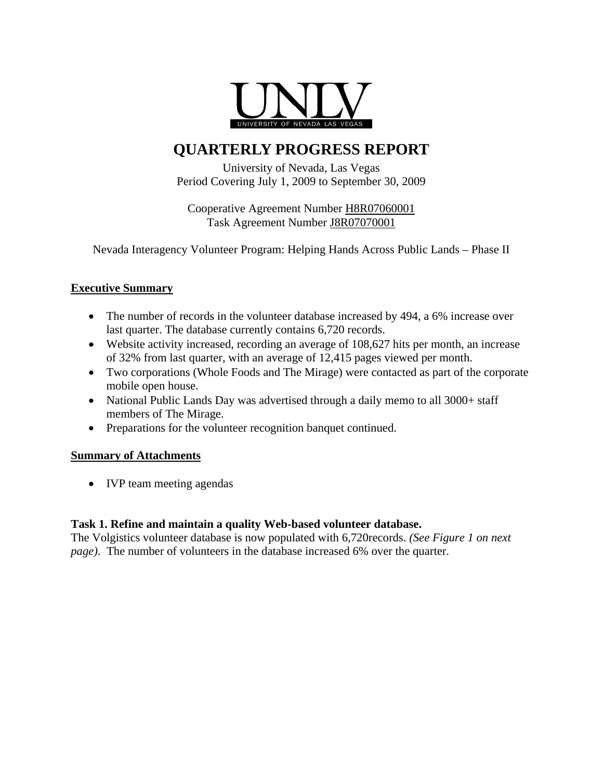

### **QUARTERLY PROGRESS REPORT**

University of Nevada, Las Vegas Period Covering July 1, 2009 to September 30, 2009

Cooperative Agreement Number H8R07060001 Task Agreement Number J8R07070001

Nevada Interagency Volunteer Program: Helping Hands Across Public Lands – Phase II

#### **Executive Summary**

- The number of records in the volunteer database increased by 494, a 6% increase over last quarter. The database currently contains 6,720 records.
- Website activity increased, recording an average of 108,627 hits per month, an increase of 32% from last quarter, with an average of 12,415 pages viewed per month.
- Two corporations (Whole Foods and The Mirage) were contacted as part of the corporate mobile open house.
- National Public Lands Day was advertised through a daily memo to all 3000+ staff members of The Mirage.
- Preparations for the volunteer recognition banquet continued.

#### **Summary of Attachments**

• IVP team meeting agendas

#### **Task 1. Refine and maintain a quality Web-based volunteer database.**

The Volgistics volunteer database is now populated with 6,720records. *(See Figure 1 on next page)*. The number of volunteers in the database increased 6% over the quarter.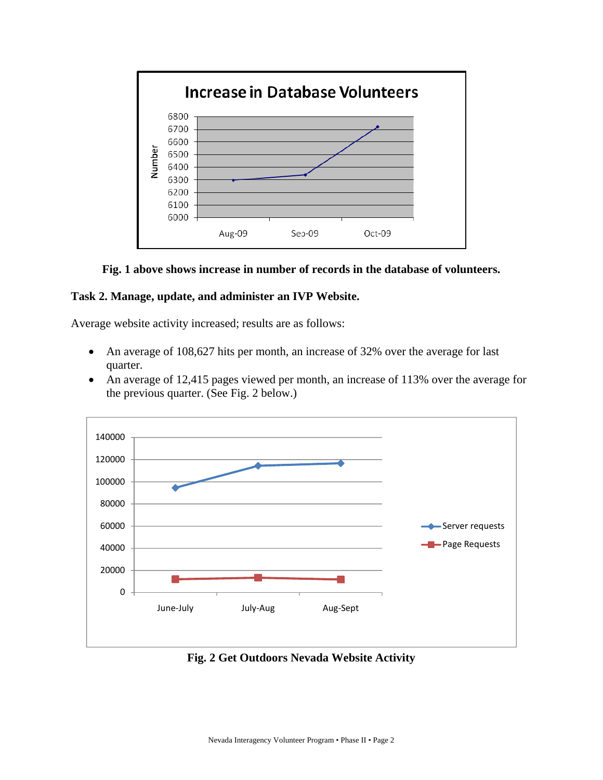

**Fig. 1 above shows increase in number of records in the database of volunteers.** 

#### **Task 2. Manage, update, and administer an IVP Website.**

Average website activity increased; results are as follows:

- An average of 108,627 hits per month, an increase of 32% over the average for last quarter.
- An average of 12,415 pages viewed per month, an increase of 113% over the average for the previous quarter. (See Fig. 2 below.)



**Fig. 2 Get Outdoors Nevada Website Activity**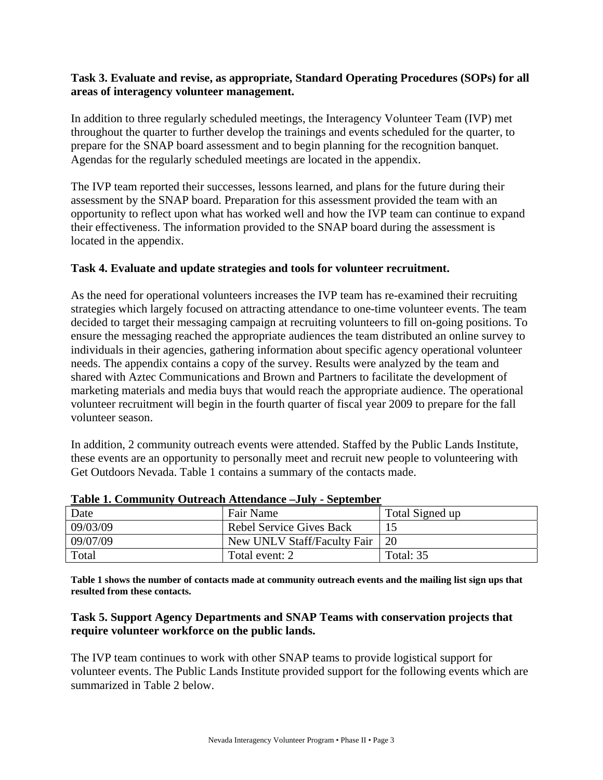#### **Task 3. Evaluate and revise, as appropriate, Standard Operating Procedures (SOPs) for all areas of interagency volunteer management.**

In addition to three regularly scheduled meetings, the Interagency Volunteer Team (IVP) met throughout the quarter to further develop the trainings and events scheduled for the quarter, to prepare for the SNAP board assessment and to begin planning for the recognition banquet. Agendas for the regularly scheduled meetings are located in the appendix.

The IVP team reported their successes, lessons learned, and plans for the future during their assessment by the SNAP board. Preparation for this assessment provided the team with an opportunity to reflect upon what has worked well and how the IVP team can continue to expand their effectiveness. The information provided to the SNAP board during the assessment is located in the appendix.

#### **Task 4. Evaluate and update strategies and tools for volunteer recruitment.**

As the need for operational volunteers increases the IVP team has re-examined their recruiting strategies which largely focused on attracting attendance to one-time volunteer events. The team decided to target their messaging campaign at recruiting volunteers to fill on-going positions. To ensure the messaging reached the appropriate audiences the team distributed an online survey to individuals in their agencies, gathering information about specific agency operational volunteer needs. The appendix contains a copy of the survey. Results were analyzed by the team and shared with Aztec Communications and Brown and Partners to facilitate the development of marketing materials and media buys that would reach the appropriate audience. The operational volunteer recruitment will begin in the fourth quarter of fiscal year 2009 to prepare for the fall volunteer season.

In addition, 2 community outreach events were attended. Staffed by the Public Lands Institute, these events are an opportunity to personally meet and recruit new people to volunteering with Get Outdoors Nevada. Table 1 contains a summary of the contacts made.

| Date     | Fair Name                       | Total Signed up |
|----------|---------------------------------|-----------------|
| 09/03/09 | <b>Rebel Service Gives Back</b> |                 |
| 09/07/09 | New UNLV Staff/Faculty Fair     | 20              |
| Total    | Total event: 2                  | Total: 35       |

#### **Table 1. Community Outreach Attendance –July - September**

**Table 1 shows the number of contacts made at community outreach events and the mailing list sign ups that resulted from these contacts.** 

#### **Task 5. Support Agency Departments and SNAP Teams with conservation projects that require volunteer workforce on the public lands.**

The IVP team continues to work with other SNAP teams to provide logistical support for volunteer events. The Public Lands Institute provided support for the following events which are summarized in Table 2 below.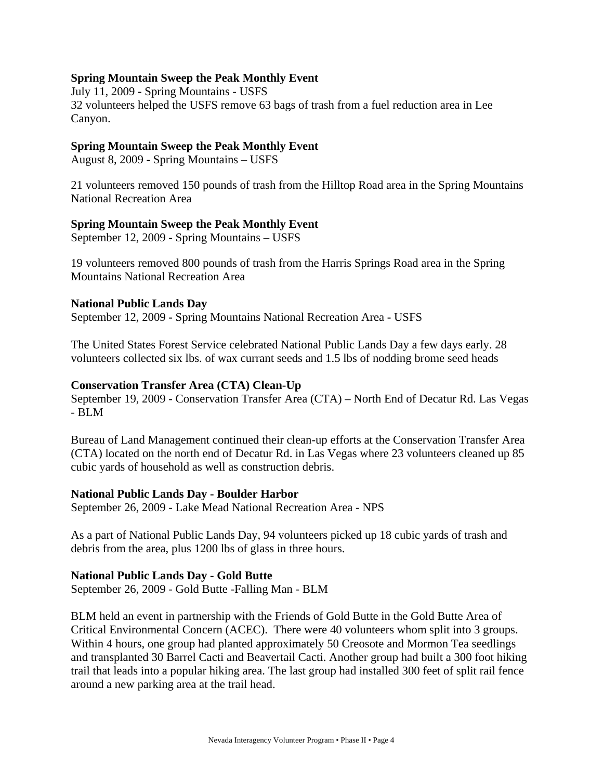#### **Spring Mountain Sweep the Peak Monthly Event**

July 11, 2009 **-** Spring Mountains - USFS 32 volunteers helped the USFS remove 63 bags of trash from a fuel reduction area in Lee Canyon.

#### **Spring Mountain Sweep the Peak Monthly Event**

August 8, 2009 **-** Spring Mountains – USFS

21 volunteers removed 150 pounds of trash from the Hilltop Road area in the Spring Mountains National Recreation Area

#### **Spring Mountain Sweep the Peak Monthly Event**

September 12, 2009 **-** Spring Mountains – USFS

19 volunteers removed 800 pounds of trash from the Harris Springs Road area in the Spring Mountains National Recreation Area

#### **National Public Lands Day**

September 12, 2009 **-** Spring Mountains National Recreation Area **-** USFS

The United States Forest Service celebrated National Public Lands Day a few days early. 28 volunteers collected six lbs. of wax currant seeds and 1.5 lbs of nodding brome seed heads

#### **Conservation Transfer Area (CTA) Clean-Up**

September 19, 2009 - Conservation Transfer Area (CTA) – North End of Decatur Rd. Las Vegas - BLM

Bureau of Land Management continued their clean-up efforts at the Conservation Transfer Area (CTA) located on the north end of Decatur Rd. in Las Vegas where 23 volunteers cleaned up 85 cubic yards of household as well as construction debris.

#### **National Public Lands Day - Boulder Harbor**

September 26, 2009 - Lake Mead National Recreation Area - NPS

As a part of National Public Lands Day, 94 volunteers picked up 18 cubic yards of trash and debris from the area, plus 1200 lbs of glass in three hours.

#### **National Public Lands Day - Gold Butte**

September 26, 2009 - Gold Butte -Falling Man - BLM

BLM held an event in partnership with the Friends of Gold Butte in the Gold Butte Area of Critical Environmental Concern (ACEC). There were 40 volunteers whom split into 3 groups. Within 4 hours, one group had planted approximately 50 Creosote and Mormon Tea seedlings and transplanted 30 Barrel Cacti and Beavertail Cacti. Another group had built a 300 foot hiking trail that leads into a popular hiking area. The last group had installed 300 feet of split rail fence around a new parking area at the trail head.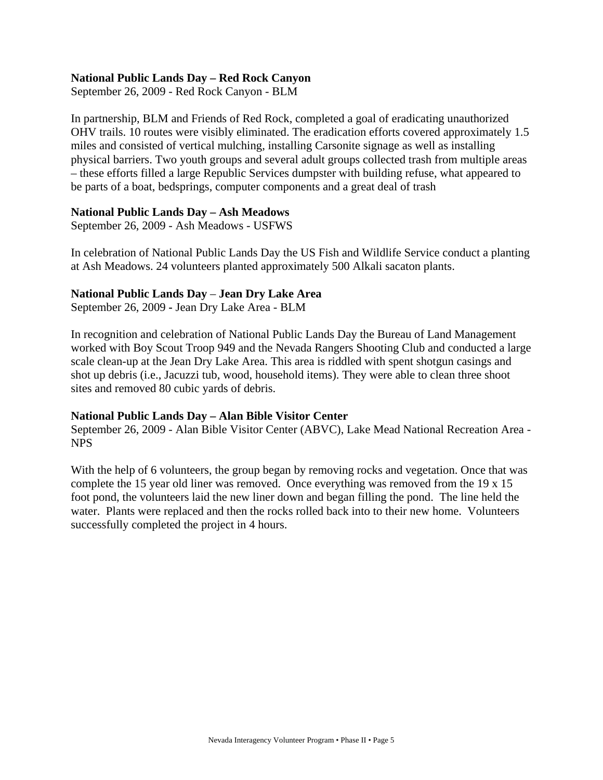#### **National Public Lands Day – Red Rock Canyon**

September 26, 2009 - Red Rock Canyon - BLM

In partnership, BLM and Friends of Red Rock, completed a goal of eradicating unauthorized OHV trails. 10 routes were visibly eliminated. The eradication efforts covered approximately 1.5 miles and consisted of vertical mulching, installing Carsonite signage as well as installing physical barriers. Two youth groups and several adult groups collected trash from multiple areas – these efforts filled a large Republic Services dumpster with building refuse, what appeared to be parts of a boat, bedsprings, computer components and a great deal of trash

#### **National Public Lands Day – Ash Meadows**

September 26, 2009 - Ash Meadows - USFWS

In celebration of National Public Lands Day the US Fish and Wildlife Service conduct a planting at Ash Meadows. 24 volunteers planted approximately 500 Alkali sacaton plants.

#### **National Public Lands Day** – **Jean Dry Lake Area**

September 26, 2009 **-** Jean Dry Lake Area - BLM

In recognition and celebration of National Public Lands Day the Bureau of Land Management worked with Boy Scout Troop 949 and the Nevada Rangers Shooting Club and conducted a large scale clean-up at the Jean Dry Lake Area. This area is riddled with spent shotgun casings and shot up debris (i.e., Jacuzzi tub, wood, household items). They were able to clean three shoot sites and removed 80 cubic yards of debris.

#### **National Public Lands Day – Alan Bible Visitor Center**

September 26, 2009 - Alan Bible Visitor Center (ABVC), Lake Mead National Recreation Area - NPS

With the help of 6 volunteers, the group began by removing rocks and vegetation. Once that was complete the 15 year old liner was removed. Once everything was removed from the 19 x 15 foot pond, the volunteers laid the new liner down and began filling the pond. The line held the water. Plants were replaced and then the rocks rolled back into to their new home. Volunteers successfully completed the project in 4 hours.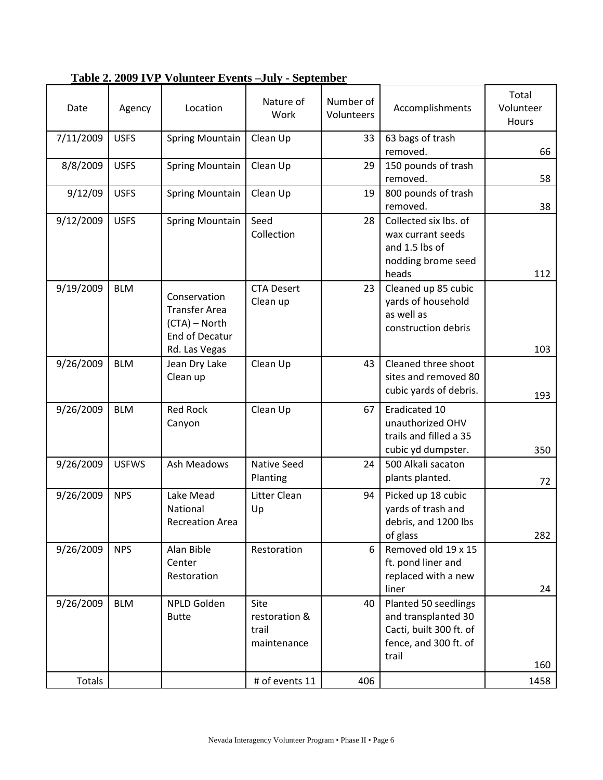| Date      | Agency       | Location                                                                                        | Nature of<br>Work                             | Number of<br>Volunteers | Accomplishments                                                                                          | Total<br>Volunteer<br>Hours |
|-----------|--------------|-------------------------------------------------------------------------------------------------|-----------------------------------------------|-------------------------|----------------------------------------------------------------------------------------------------------|-----------------------------|
| 7/11/2009 | <b>USFS</b>  | Spring Mountain                                                                                 | Clean Up                                      | 33                      | 63 bags of trash<br>removed.                                                                             | 66                          |
| 8/8/2009  | <b>USFS</b>  | <b>Spring Mountain</b>                                                                          | Clean Up                                      | 29                      | 150 pounds of trash<br>removed.                                                                          | 58                          |
| 9/12/09   | <b>USFS</b>  | <b>Spring Mountain</b>                                                                          | Clean Up                                      | 19                      | 800 pounds of trash<br>removed.                                                                          | 38                          |
| 9/12/2009 | <b>USFS</b>  | Spring Mountain                                                                                 | Seed<br>Collection                            | 28                      | Collected six lbs. of<br>wax currant seeds<br>and 1.5 lbs of<br>nodding brome seed<br>heads              | 112                         |
| 9/19/2009 | <b>BLM</b>   | Conservation<br><b>Transfer Area</b><br>(CTA) – North<br><b>End of Decatur</b><br>Rd. Las Vegas | <b>CTA Desert</b><br>Clean up                 | 23                      | Cleaned up 85 cubic<br>yards of household<br>as well as<br>construction debris                           | 103                         |
| 9/26/2009 | <b>BLM</b>   | Jean Dry Lake<br>Clean up                                                                       | Clean Up                                      | 43                      | Cleaned three shoot<br>sites and removed 80<br>cubic yards of debris.                                    | 193                         |
| 9/26/2009 | <b>BLM</b>   | <b>Red Rock</b><br>Canyon                                                                       | Clean Up                                      | 67                      | Eradicated 10<br>unauthorized OHV<br>trails and filled a 35<br>cubic yd dumpster.                        | 350                         |
| 9/26/2009 | <b>USFWS</b> | Ash Meadows                                                                                     | <b>Native Seed</b><br>Planting                | 24                      | 500 Alkali sacaton<br>plants planted.                                                                    | 72                          |
| 9/26/2009 | <b>NPS</b>   | Lake Mead<br>National<br><b>Recreation Area</b>                                                 | Litter Clean<br>Up                            | 94                      | Picked up 18 cubic<br>yards of trash and<br>debris, and 1200 lbs<br>of glass                             | 282                         |
| 9/26/2009 | <b>NPS</b>   | Alan Bible<br>Center<br>Restoration                                                             | Restoration                                   | 6                       | Removed old 19 x 15<br>ft. pond liner and<br>replaced with a new<br>liner                                | 24                          |
| 9/26/2009 | <b>BLM</b>   | NPLD Golden<br><b>Butte</b>                                                                     | Site<br>restoration &<br>trail<br>maintenance | 40                      | Planted 50 seedlings<br>and transplanted 30<br>Cacti, built 300 ft. of<br>fence, and 300 ft. of<br>trail | 160                         |
| Totals    |              |                                                                                                 | # of events 11                                | 406                     |                                                                                                          | 1458                        |

**Table 2. 2009 IVP Volunteer Events –July - September**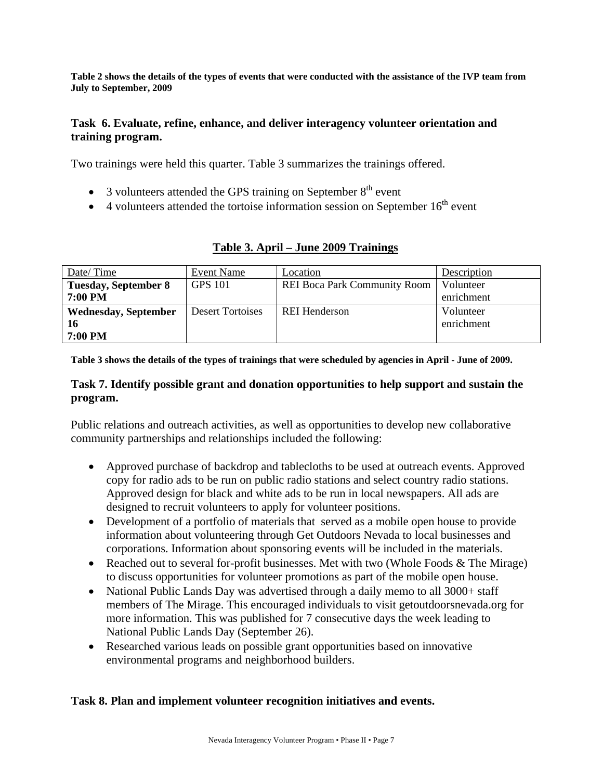**Table 2 shows the details of the types of events that were conducted with the assistance of the IVP team from July to September, 2009** 

#### **Task 6. Evaluate, refine, enhance, and deliver interagency volunteer orientation and training program.**

Two trainings were held this quarter. Table 3 summarizes the trainings offered.

- $\bullet$  3 volunteers attended the GPS training on September  $8<sup>th</sup>$  event
- $\bullet$  4 volunteers attended the tortoise information session on September 16<sup>th</sup> event

| Date/Time                   | Event Name              | Location                            | Description |
|-----------------------------|-------------------------|-------------------------------------|-------------|
| <b>Tuesday, September 8</b> | <b>GPS 101</b>          | <b>REI Boca Park Community Room</b> | Volunteer   |
| 7:00 PM                     |                         |                                     | enrichment  |
| <b>Wednesday, September</b> | <b>Desert Tortoises</b> | <b>REI</b> Henderson                | Volunteer   |
| 16                          |                         |                                     | enrichment  |
| 7:00 PM                     |                         |                                     |             |

#### **Table 3. April – June 2009 Trainings**

**Table 3 shows the details of the types of trainings that were scheduled by agencies in April - June of 2009.** 

#### **Task 7. Identify possible grant and donation opportunities to help support and sustain the program.**

Public relations and outreach activities, as well as opportunities to develop new collaborative community partnerships and relationships included the following:

- Approved purchase of backdrop and tablecloths to be used at outreach events. Approved copy for radio ads to be run on public radio stations and select country radio stations. Approved design for black and white ads to be run in local newspapers. All ads are designed to recruit volunteers to apply for volunteer positions.
- Development of a portfolio of materials that served as a mobile open house to provide information about volunteering through Get Outdoors Nevada to local businesses and corporations. Information about sponsoring events will be included in the materials.
- Reached out to several for-profit businesses. Met with two (Whole Foods  $&$  The Mirage) to discuss opportunities for volunteer promotions as part of the mobile open house.
- National Public Lands Day was advertised through a daily memo to all 3000+ staff members of The Mirage. This encouraged individuals to visit getoutdoorsnevada.org for more information. This was published for 7 consecutive days the week leading to National Public Lands Day (September 26).
- Researched various leads on possible grant opportunities based on innovative environmental programs and neighborhood builders.

#### **Task 8. Plan and implement volunteer recognition initiatives and events.**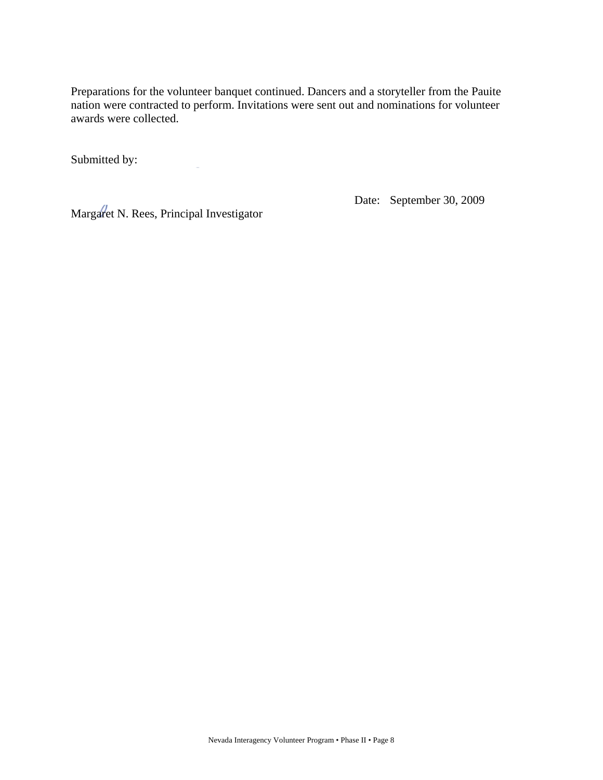Preparations for the volunteer banquet continued. Dancers and a storyteller from the Pauite nation were contracted to perform. Invitations were sent out and nominations for volunteer awards were collected.

Submitted by:

Margaret N. Rees, Principal Investigator

Date: September 30, 2009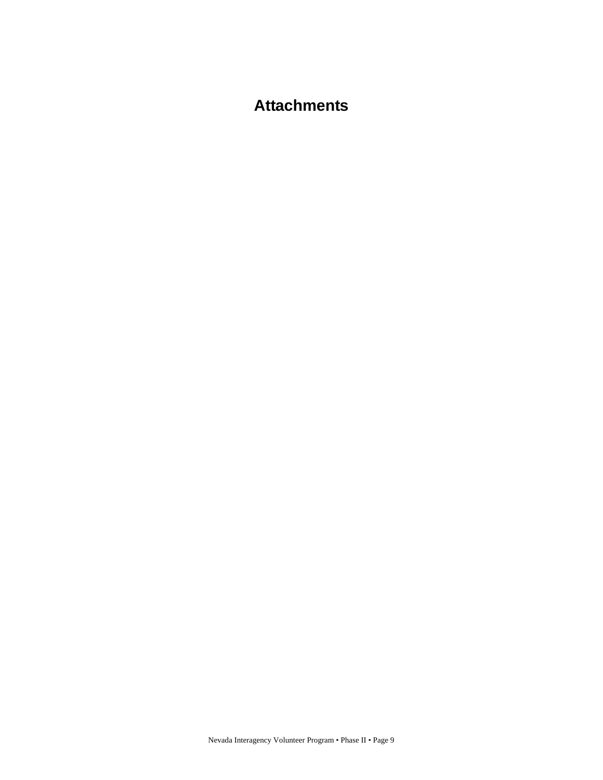### **Attachments**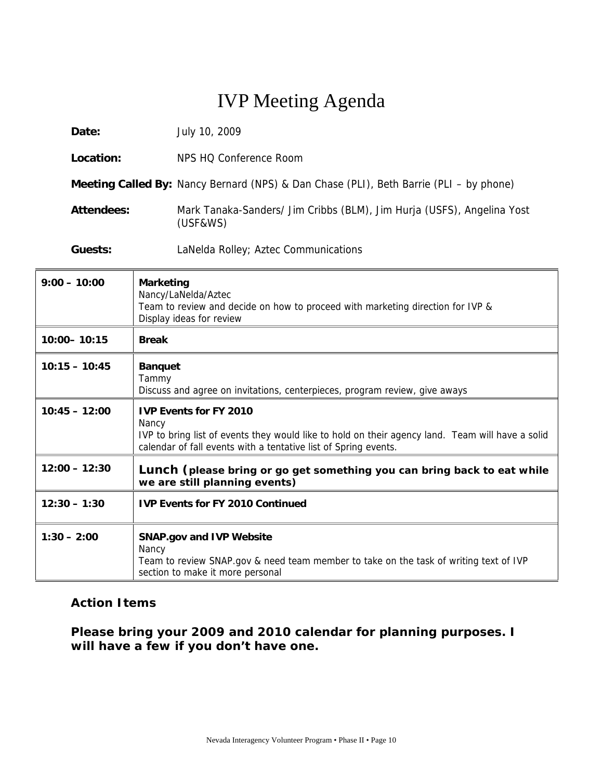| Date:      | July 10, 2009                                                                          |
|------------|----------------------------------------------------------------------------------------|
| Location:  | NPS HQ Conference Room                                                                 |
|            | Meeting Called By: Nancy Bernard (NPS) & Dan Chase (PLI), Beth Barrie (PLI - by phone) |
| Attendees: | Mark Tanaka-Sanders/ Jim Cribbs (BLM), Jim Hurja (USFS), Angelina Yost<br>(USF&WS)     |
| Guests:    | LaNelda Rolley; Aztec Communications                                                   |

| $9:00 - 10:00$  | <b>Marketing</b><br>Nancy/LaNelda/Aztec<br>Team to review and decide on how to proceed with marketing direction for IVP &<br>Display ideas for review                                                         |
|-----------------|---------------------------------------------------------------------------------------------------------------------------------------------------------------------------------------------------------------|
| 10:00-10:15     | <b>Break</b>                                                                                                                                                                                                  |
| $10:15 - 10:45$ | <b>Banquet</b><br>Tammy<br>Discuss and agree on invitations, centerpieces, program review, give aways                                                                                                         |
| $10:45 - 12:00$ | <b>IVP Events for FY 2010</b><br>Nancy<br>IVP to bring list of events they would like to hold on their agency land. Team will have a solid<br>calendar of fall events with a tentative list of Spring events. |
| $12:00 - 12:30$ | Lunch (please bring or go get something you can bring back to eat while<br>we are still planning events)                                                                                                      |
| $12:30 - 1:30$  | <b>IVP Events for FY 2010 Continued</b>                                                                                                                                                                       |
| $1:30 - 2:00$   | <b>SNAP.gov and IVP Website</b><br>Nancy<br>Team to review SNAP.gov & need team member to take on the task of writing text of IVP<br>section to make it more personal                                         |

### **Action Items**

**Please bring your 2009 and 2010 calendar for planning purposes. I will have a few if you don't have one.**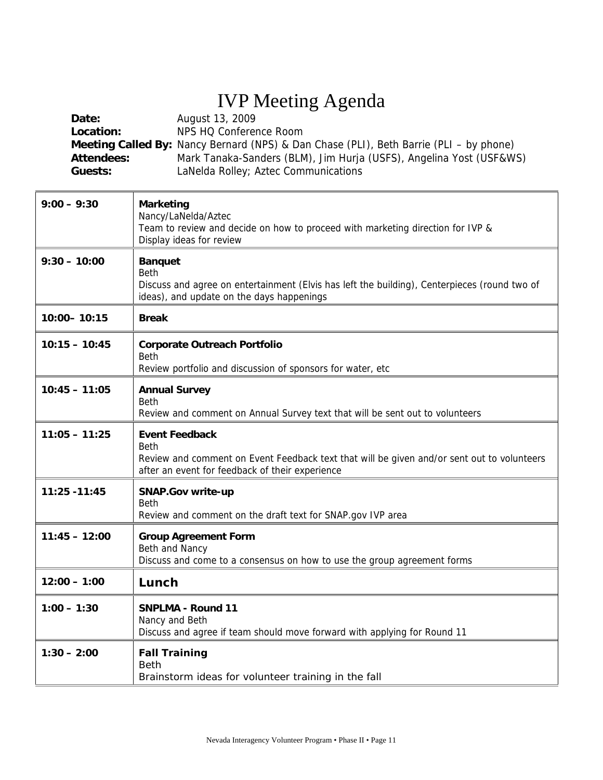| Date:<br>Location:<br><b>Attendees:</b><br>Guests: | August 13, 2009<br>NPS HQ Conference Room<br>Meeting Called By: Nancy Bernard (NPS) & Dan Chase (PLI), Beth Barrie (PLI - by phone)<br>Mark Tanaka-Sanders (BLM), Jim Hurja (USFS), Angelina Yost (USF&WS)<br>LaNelda Rolley; Aztec Communications |
|----------------------------------------------------|----------------------------------------------------------------------------------------------------------------------------------------------------------------------------------------------------------------------------------------------------|
| $9:00 - 9:30$                                      | <b>Marketing</b><br>Nancy/LaNelda/Aztec<br>Team to review and decide on how to proceed with marketing direction for IVP &<br>Display ideas for review                                                                                              |
| $9:30 - 10:00$                                     | <b>Banquet</b><br><b>Beth</b><br>Discuss and agree on entertainment (Elvis has left the building), Centerpieces (round two of<br>ideas), and update on the days happenings                                                                         |
| 10:00-10:15                                        | <b>Break</b>                                                                                                                                                                                                                                       |
| $10:15 - 10:45$                                    | <b>Corporate Outreach Portfolio</b><br><b>Beth</b><br>Review portfolio and discussion of sponsors for water, etc                                                                                                                                   |
| $10:45 - 11:05$                                    | <b>Annual Survey</b><br><b>Beth</b><br>Review and comment on Annual Survey text that will be sent out to volunteers                                                                                                                                |
| $11:05 - 11:25$                                    | <b>Event Feedback</b><br><b>Beth</b><br>Review and comment on Event Feedback text that will be given and/or sent out to volunteers<br>after an event for feedback of their experience                                                              |
| 11:25 - 11:45                                      | <b>SNAP.Gov write-up</b><br><b>Beth</b><br>Review and comment on the draft text for SNAP.gov IVP area                                                                                                                                              |
| $11:45 - 12:00$                                    | <b>Group Agreement Form</b><br>Beth and Nancy<br>Discuss and come to a consensus on how to use the group agreement forms                                                                                                                           |
| $12:00 - 1:00$                                     | Lunch                                                                                                                                                                                                                                              |
| $1:00 - 1:30$                                      | <b>SNPLMA - Round 11</b><br>Nancy and Beth<br>Discuss and agree if team should move forward with applying for Round 11                                                                                                                             |
| $1:30 - 2:00$                                      | <b>Fall Training</b><br><b>Beth</b><br>Brainstorm ideas for volunteer training in the fall                                                                                                                                                         |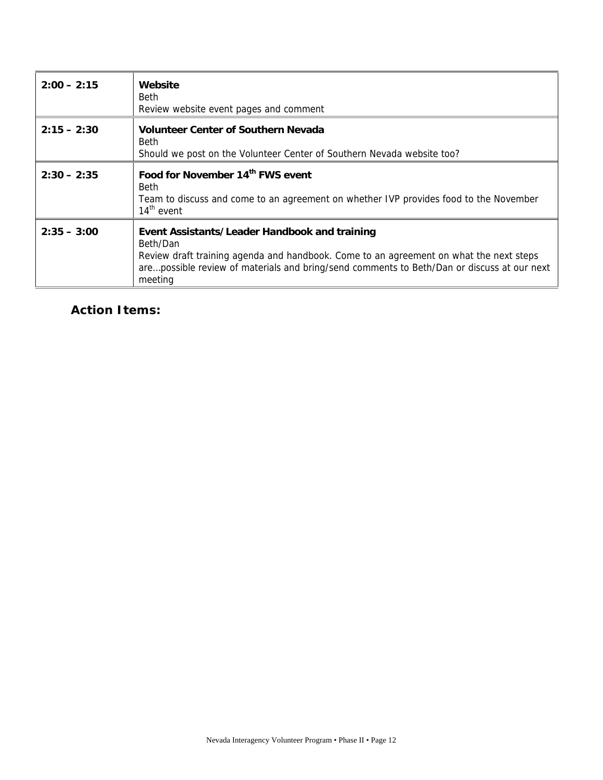| $2:00 - 2:15$ | Website<br><b>Beth</b><br>Review website event pages and comment                                                                                                                                                                                             |
|---------------|--------------------------------------------------------------------------------------------------------------------------------------------------------------------------------------------------------------------------------------------------------------|
| $2:15 - 2:30$ | <b>Volunteer Center of Southern Nevada</b><br><b>Beth</b><br>Should we post on the Volunteer Center of Southern Nevada website too?                                                                                                                          |
| $2:30 - 2:35$ | Food for November 14th FWS event<br><b>Beth</b><br>Team to discuss and come to an agreement on whether IVP provides food to the November<br>$14th$ event                                                                                                     |
| $2:35 - 3:00$ | Event Assistants/Leader Handbook and training<br>Beth/Dan<br>Review draft training agenda and handbook. Come to an agreement on what the next steps<br>arepossible review of materials and bring/send comments to Beth/Dan or discuss at our next<br>meeting |

**Action Items:**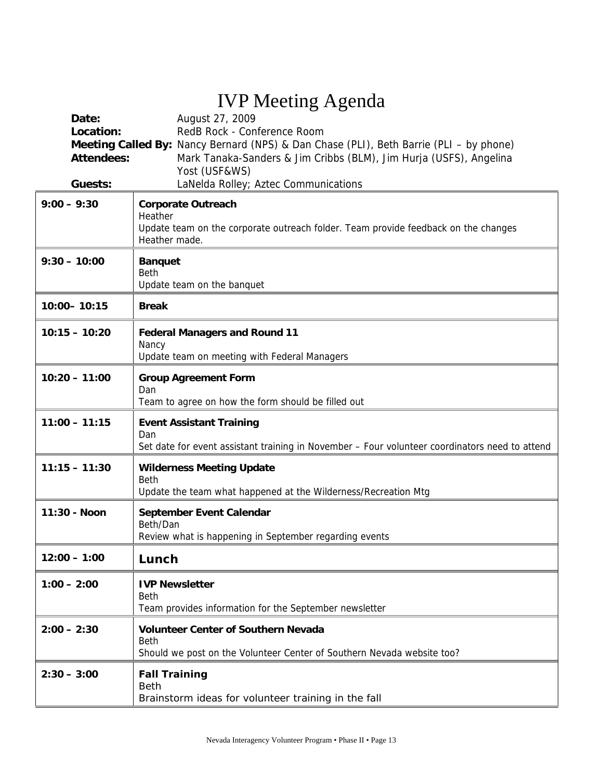| Date:<br>Location:<br><b>Attendees:</b><br>Guests: | August 27, 2009<br>RedB Rock - Conference Room<br>Meeting Called By: Nancy Bernard (NPS) & Dan Chase (PLI), Beth Barrie (PLI - by phone)<br>Mark Tanaka-Sanders & Jim Cribbs (BLM), Jim Hurja (USFS), Angelina<br>Yost (USF&WS)<br>LaNelda Rolley; Aztec Communications |
|----------------------------------------------------|-------------------------------------------------------------------------------------------------------------------------------------------------------------------------------------------------------------------------------------------------------------------------|
| $9:00 - 9:30$                                      | <b>Corporate Outreach</b><br>Heather<br>Update team on the corporate outreach folder. Team provide feedback on the changes<br>Heather made.                                                                                                                             |
| $9:30 - 10:00$                                     | <b>Banquet</b><br><b>Beth</b><br>Update team on the banquet                                                                                                                                                                                                             |
| 10:00-10:15                                        | <b>Break</b>                                                                                                                                                                                                                                                            |
| $10:15 - 10:20$                                    | <b>Federal Managers and Round 11</b><br>Nancy<br>Update team on meeting with Federal Managers                                                                                                                                                                           |
| $10:20 - 11:00$                                    | <b>Group Agreement Form</b><br>Dan<br>Team to agree on how the form should be filled out                                                                                                                                                                                |
| $11:00 - 11:15$                                    | <b>Event Assistant Training</b><br>Dan<br>Set date for event assistant training in November - Four volunteer coordinators need to attend                                                                                                                                |
| $11:15 - 11:30$                                    | <b>Wilderness Meeting Update</b><br><b>Beth</b><br>Update the team what happened at the Wilderness/Recreation Mtg                                                                                                                                                       |
| 11:30 - Noon                                       | September Event Calendar<br>Beth/Dan<br>Review what is happening in September regarding events                                                                                                                                                                          |
| $12:00 - 1:00$                                     | Lunch                                                                                                                                                                                                                                                                   |
| $1:00 - 2:00$                                      | <b>IVP Newsletter</b><br><b>Beth</b><br>Team provides information for the September newsletter                                                                                                                                                                          |
| $2:00 - 2:30$                                      | <b>Volunteer Center of Southern Nevada</b><br><b>Beth</b><br>Should we post on the Volunteer Center of Southern Nevada website too?                                                                                                                                     |
| $2:30 - 3:00$                                      | <b>Fall Training</b><br><b>Beth</b><br>Brainstorm ideas for volunteer training in the fall                                                                                                                                                                              |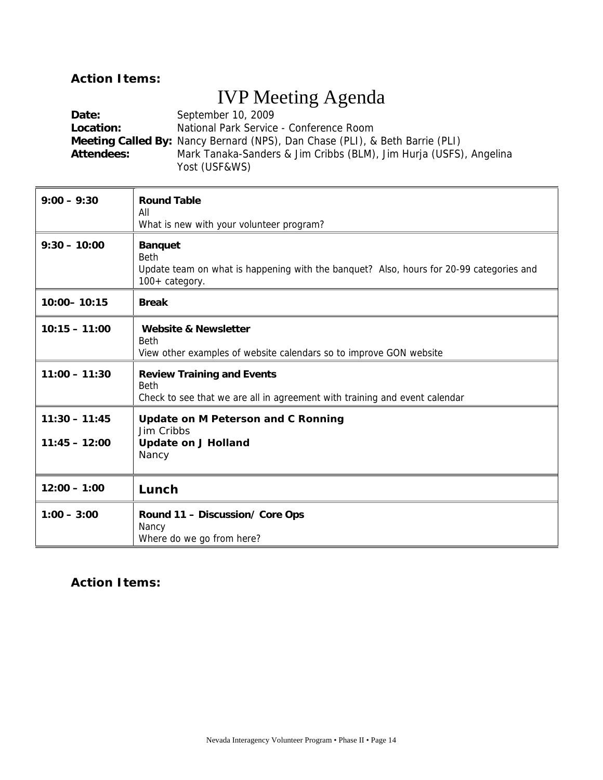### **Action Items:**

# IVP Meeting Agenda

| Date:             | September 10, 2009                                                                  |
|-------------------|-------------------------------------------------------------------------------------|
| Location:         | National Park Service - Conference Room                                             |
|                   | <b>Meeting Called By:</b> Nancy Bernard (NPS), Dan Chase (PLI), & Beth Barrie (PLI) |
| <b>Attendees:</b> | Mark Tanaka-Sanders & Jim Cribbs (BLM), Jim Hurja (USFS), Angelina                  |
|                   | Yost (USF&WS)                                                                       |

| $9:00 - 9:30$                      | <b>Round Table</b>                                                                                                                         |
|------------------------------------|--------------------------------------------------------------------------------------------------------------------------------------------|
|                                    | All<br>What is new with your volunteer program?                                                                                            |
| $9:30 - 10:00$                     | <b>Banquet</b><br><b>Beth</b><br>Update team on what is happening with the banquet? Also, hours for 20-99 categories and<br>100+ category. |
| $10:00 - 10:15$                    | <b>Break</b>                                                                                                                               |
| $10:15 - 11:00$                    | <b>Website &amp; Newsletter</b><br><b>Beth</b><br>View other examples of website calendars so to improve GON website                       |
| $11:00 - 11:30$                    | <b>Review Training and Events</b><br><b>Beth</b><br>Check to see that we are all in agreement with training and event calendar             |
| $11:30 - 11:45$<br>$11:45 - 12:00$ | <b>Update on M Peterson and C Ronning</b><br>Jim Cribbs<br><b>Update on J Holland</b><br>Nancy                                             |
| $12:00 - 1:00$                     | Lunch                                                                                                                                      |
| $1:00 - 3:00$                      | Round 11 - Discussion/ Core Ops<br>Nancy<br>Where do we go from here?                                                                      |

### **Action Items:**